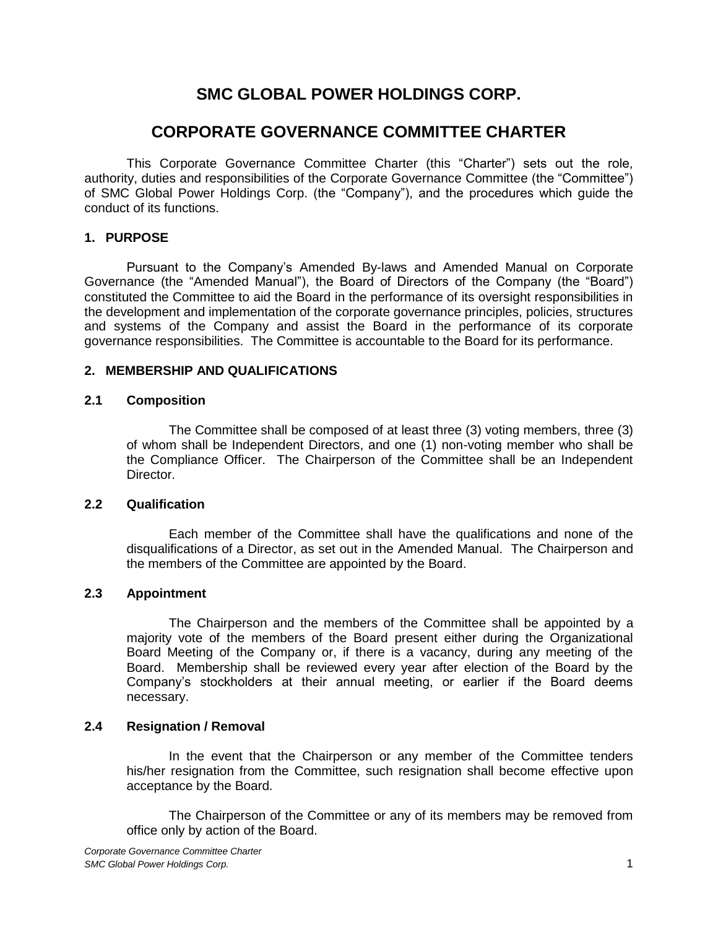# **SMC GLOBAL POWER HOLDINGS CORP.**

## **CORPORATE GOVERNANCE COMMITTEE CHARTER**

This Corporate Governance Committee Charter (this "Charter") sets out the role, authority, duties and responsibilities of the Corporate Governance Committee (the "Committee") of SMC Global Power Holdings Corp. (the "Company"), and the procedures which guide the conduct of its functions.

## **1. PURPOSE**

Pursuant to the Company's Amended By-laws and Amended Manual on Corporate Governance (the "Amended Manual"), the Board of Directors of the Company (the "Board") constituted the Committee to aid the Board in the performance of its oversight responsibilities in the development and implementation of the corporate governance principles, policies, structures and systems of the Company and assist the Board in the performance of its corporate governance responsibilities. The Committee is accountable to the Board for its performance.

## **2. MEMBERSHIP AND QUALIFICATIONS**

## **2.1 Composition**

The Committee shall be composed of at least three (3) voting members, three (3) of whom shall be Independent Directors, and one (1) non-voting member who shall be the Compliance Officer. The Chairperson of the Committee shall be an Independent Director.

## **2.2 Qualification**

Each member of the Committee shall have the qualifications and none of the disqualifications of a Director, as set out in the Amended Manual. The Chairperson and the members of the Committee are appointed by the Board.

## **2.3 Appointment**

The Chairperson and the members of the Committee shall be appointed by a majority vote of the members of the Board present either during the Organizational Board Meeting of the Company or, if there is a vacancy, during any meeting of the Board. Membership shall be reviewed every year after election of the Board by the Company's stockholders at their annual meeting, or earlier if the Board deems necessary.

## **2.4 Resignation / Removal**

In the event that the Chairperson or any member of the Committee tenders his/her resignation from the Committee, such resignation shall become effective upon acceptance by the Board.

The Chairperson of the Committee or any of its members may be removed from office only by action of the Board.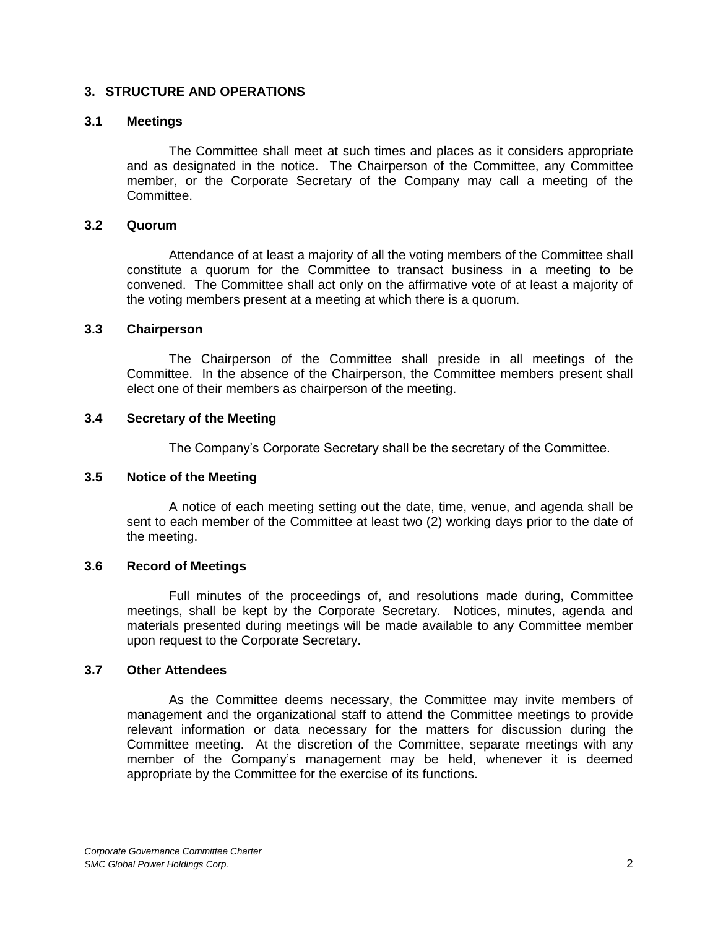## **3. STRUCTURE AND OPERATIONS**

## **3.1 Meetings**

The Committee shall meet at such times and places as it considers appropriate and as designated in the notice. The Chairperson of the Committee, any Committee member, or the Corporate Secretary of the Company may call a meeting of the Committee.

#### **3.2 Quorum**

Attendance of at least a majority of all the voting members of the Committee shall constitute a quorum for the Committee to transact business in a meeting to be convened. The Committee shall act only on the affirmative vote of at least a majority of the voting members present at a meeting at which there is a quorum.

#### **3.3 Chairperson**

The Chairperson of the Committee shall preside in all meetings of the Committee. In the absence of the Chairperson, the Committee members present shall elect one of their members as chairperson of the meeting.

#### **3.4 Secretary of the Meeting**

The Company's Corporate Secretary shall be the secretary of the Committee.

## **3.5 Notice of the Meeting**

A notice of each meeting setting out the date, time, venue, and agenda shall be sent to each member of the Committee at least two (2) working days prior to the date of the meeting.

## **3.6 Record of Meetings**

Full minutes of the proceedings of, and resolutions made during, Committee meetings, shall be kept by the Corporate Secretary. Notices, minutes, agenda and materials presented during meetings will be made available to any Committee member upon request to the Corporate Secretary.

#### **3.7 Other Attendees**

As the Committee deems necessary, the Committee may invite members of management and the organizational staff to attend the Committee meetings to provide relevant information or data necessary for the matters for discussion during the Committee meeting. At the discretion of the Committee, separate meetings with any member of the Company's management may be held, whenever it is deemed appropriate by the Committee for the exercise of its functions.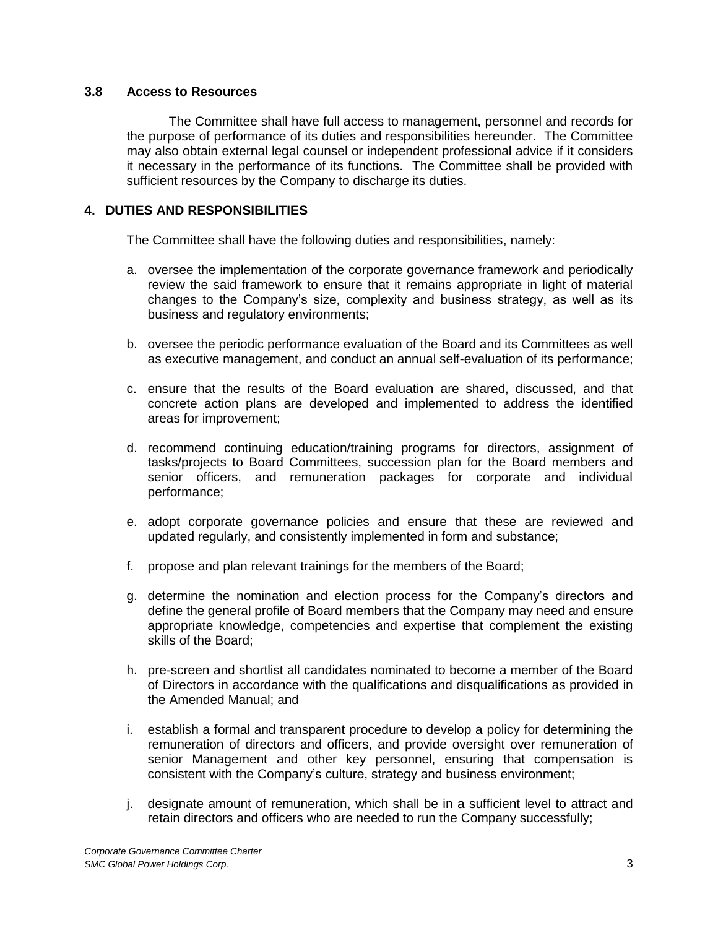#### **3.8 Access to Resources**

The Committee shall have full access to management, personnel and records for the purpose of performance of its duties and responsibilities hereunder. The Committee may also obtain external legal counsel or independent professional advice if it considers it necessary in the performance of its functions. The Committee shall be provided with sufficient resources by the Company to discharge its duties.

## **4. DUTIES AND RESPONSIBILITIES**

The Committee shall have the following duties and responsibilities, namely:

- a. oversee the implementation of the corporate governance framework and periodically review the said framework to ensure that it remains appropriate in light of material changes to the Company's size, complexity and business strategy, as well as its business and regulatory environments;
- b. oversee the periodic performance evaluation of the Board and its Committees as well as executive management, and conduct an annual self-evaluation of its performance;
- c. ensure that the results of the Board evaluation are shared, discussed, and that concrete action plans are developed and implemented to address the identified areas for improvement;
- d. recommend continuing education/training programs for directors, assignment of tasks/projects to Board Committees, succession plan for the Board members and senior officers, and remuneration packages for corporate and individual performance;
- e. adopt corporate governance policies and ensure that these are reviewed and updated regularly, and consistently implemented in form and substance;
- f. propose and plan relevant trainings for the members of the Board;
- g. determine the nomination and election process for the Company's directors and define the general profile of Board members that the Company may need and ensure appropriate knowledge, competencies and expertise that complement the existing skills of the Board;
- h. pre-screen and shortlist all candidates nominated to become a member of the Board of Directors in accordance with the qualifications and disqualifications as provided in the Amended Manual; and
- i. establish a formal and transparent procedure to develop a policy for determining the remuneration of directors and officers, and provide oversight over remuneration of senior Management and other key personnel, ensuring that compensation is consistent with the Company's culture, strategy and business environment;
- j. designate amount of remuneration, which shall be in a sufficient level to attract and retain directors and officers who are needed to run the Company successfully;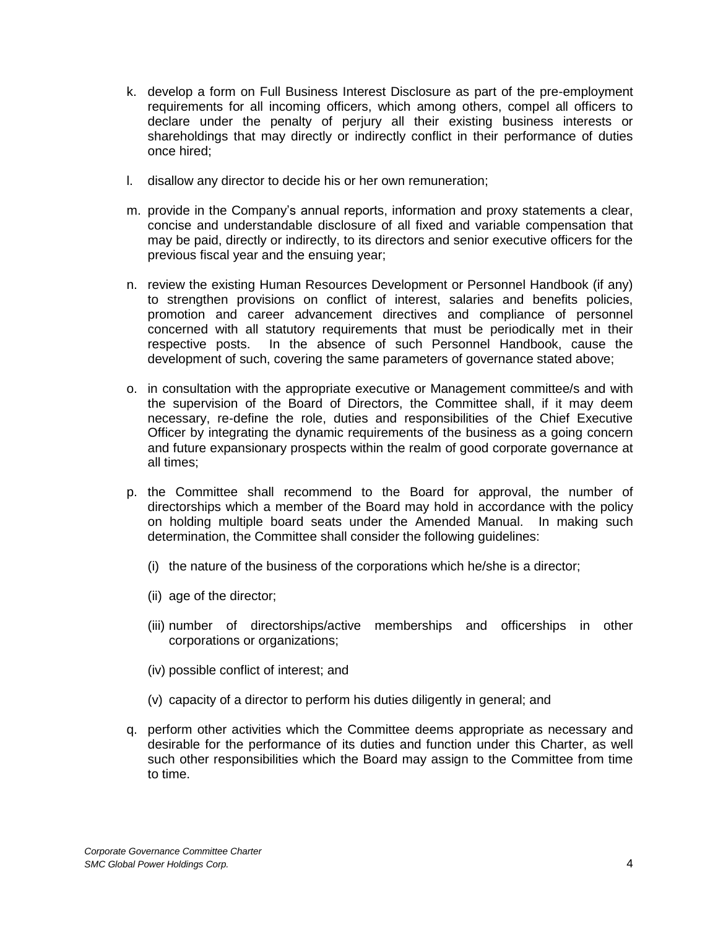- k. develop a form on Full Business Interest Disclosure as part of the pre-employment requirements for all incoming officers, which among others, compel all officers to declare under the penalty of perjury all their existing business interests or shareholdings that may directly or indirectly conflict in their performance of duties once hired;
- l. disallow any director to decide his or her own remuneration;
- m. provide in the Company's annual reports, information and proxy statements a clear, concise and understandable disclosure of all fixed and variable compensation that may be paid, directly or indirectly, to its directors and senior executive officers for the previous fiscal year and the ensuing year;
- n. review the existing Human Resources Development or Personnel Handbook (if any) to strengthen provisions on conflict of interest, salaries and benefits policies, promotion and career advancement directives and compliance of personnel concerned with all statutory requirements that must be periodically met in their respective posts. In the absence of such Personnel Handbook, cause the development of such, covering the same parameters of governance stated above;
- o. in consultation with the appropriate executive or Management committee/s and with the supervision of the Board of Directors, the Committee shall, if it may deem necessary, re-define the role, duties and responsibilities of the Chief Executive Officer by integrating the dynamic requirements of the business as a going concern and future expansionary prospects within the realm of good corporate governance at all times;
- p. the Committee shall recommend to the Board for approval, the number of directorships which a member of the Board may hold in accordance with the policy on holding multiple board seats under the Amended Manual. In making such determination, the Committee shall consider the following guidelines:
	- (i) the nature of the business of the corporations which he/she is a director;
	- (ii) age of the director;
	- (iii) number of directorships/active memberships and officerships in other corporations or organizations;
	- (iv) possible conflict of interest; and
	- (v) capacity of a director to perform his duties diligently in general; and
- q. perform other activities which the Committee deems appropriate as necessary and desirable for the performance of its duties and function under this Charter, as well such other responsibilities which the Board may assign to the Committee from time to time.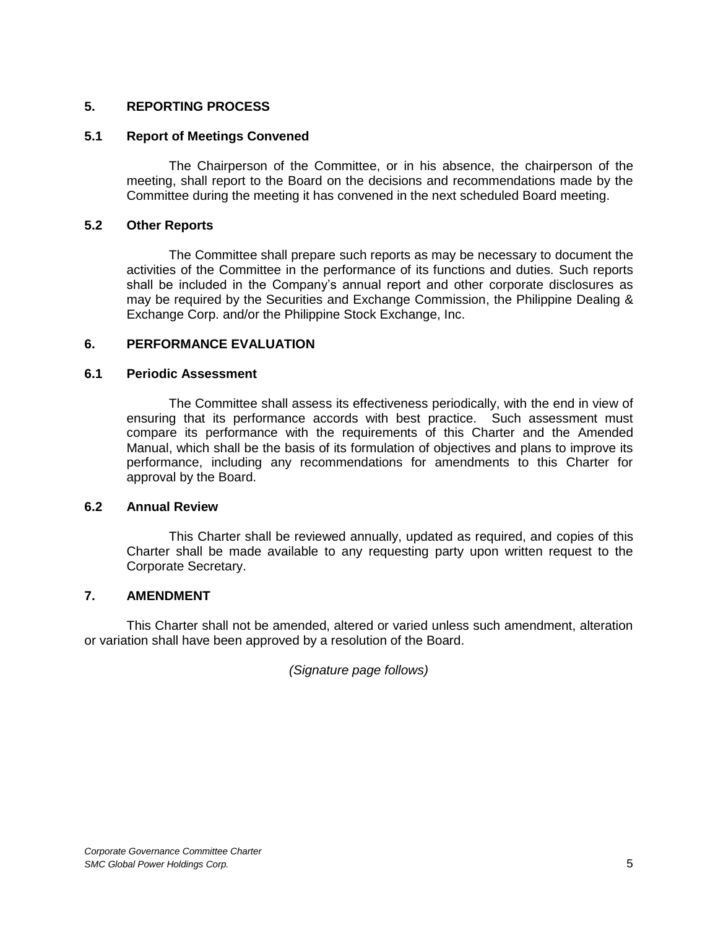## **5. REPORTING PROCESS**

## **5.1 Report of Meetings Convened**

The Chairperson of the Committee, or in his absence, the chairperson of the meeting, shall report to the Board on the decisions and recommendations made by the Committee during the meeting it has convened in the next scheduled Board meeting.

## **5.2 Other Reports**

The Committee shall prepare such reports as may be necessary to document the activities of the Committee in the performance of its functions and duties. Such reports shall be included in the Company's annual report and other corporate disclosures as may be required by the Securities and Exchange Commission, the Philippine Dealing & Exchange Corp. and/or the Philippine Stock Exchange, Inc.

#### **6. PERFORMANCE EVALUATION**

#### **6.1 Periodic Assessment**

The Committee shall assess its effectiveness periodically, with the end in view of ensuring that its performance accords with best practice. Such assessment must compare its performance with the requirements of this Charter and the Amended Manual, which shall be the basis of its formulation of objectives and plans to improve its performance, including any recommendations for amendments to this Charter for approval by the Board.

#### **6.2 Annual Review**

This Charter shall be reviewed annually, updated as required, and copies of this Charter shall be made available to any requesting party upon written request to the Corporate Secretary.

## **7. AMENDMENT**

This Charter shall not be amended, altered or varied unless such amendment, alteration or variation shall have been approved by a resolution of the Board.

*(Signature page follows)*